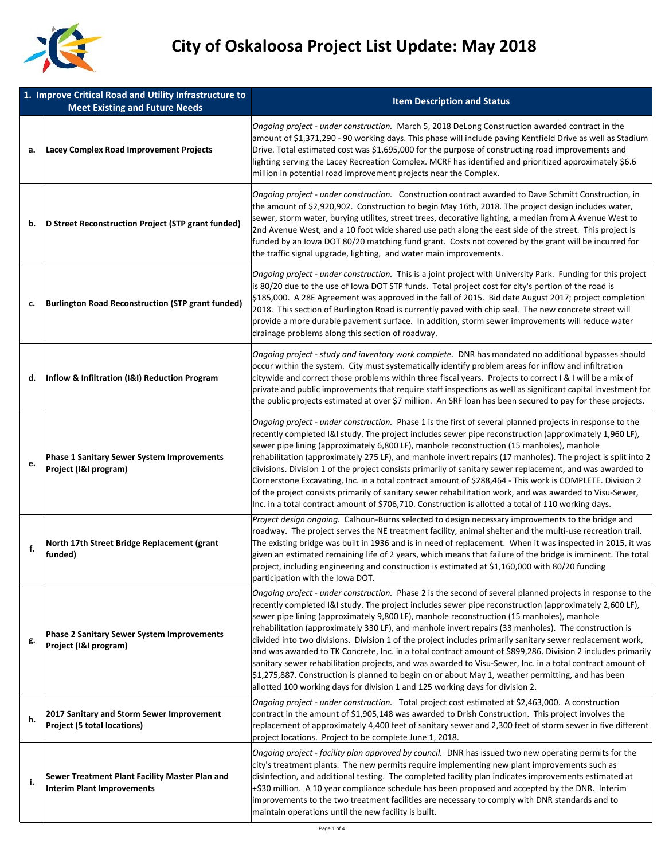

|    | 1. Improve Critical Road and Utility Infrastructure to                              |                                                                                                                                                                                                                                                                                                                                                                                                                                                                                                                                                                                                                                                                                                                                                                                                                                                                                                                                                                      |  |
|----|-------------------------------------------------------------------------------------|----------------------------------------------------------------------------------------------------------------------------------------------------------------------------------------------------------------------------------------------------------------------------------------------------------------------------------------------------------------------------------------------------------------------------------------------------------------------------------------------------------------------------------------------------------------------------------------------------------------------------------------------------------------------------------------------------------------------------------------------------------------------------------------------------------------------------------------------------------------------------------------------------------------------------------------------------------------------|--|
|    | <b>Meet Existing and Future Needs</b>                                               | <b>Item Description and Status</b>                                                                                                                                                                                                                                                                                                                                                                                                                                                                                                                                                                                                                                                                                                                                                                                                                                                                                                                                   |  |
| a. | Lacey Complex Road Improvement Projects                                             | Ongoing project - under construction. March 5, 2018 DeLong Construction awarded contract in the<br>amount of \$1,371,290 - 90 working days. This phase will include paving Kentfield Drive as well as Stadium<br>Drive. Total estimated cost was \$1,695,000 for the purpose of constructing road improvements and<br>lighting serving the Lacey Recreation Complex. MCRF has identified and prioritized approximately \$6.6<br>million in potential road improvement projects near the Complex.                                                                                                                                                                                                                                                                                                                                                                                                                                                                     |  |
| b. | D Street Reconstruction Project (STP grant funded)                                  | Ongoing project - under construction. Construction contract awarded to Dave Schmitt Construction, in<br>the amount of \$2,920,902. Construction to begin May 16th, 2018. The project design includes water,<br>sewer, storm water, burying utilites, street trees, decorative lighting, a median from A Avenue West to<br>2nd Avenue West, and a 10 foot wide shared use path along the east side of the street. This project is<br>funded by an Iowa DOT 80/20 matching fund grant. Costs not covered by the grant will be incurred for<br>the traffic signal upgrade, lighting, and water main improvements.                                                                                                                                                                                                                                                                                                                                                       |  |
| c. | <b>Burlington Road Reconstruction (STP grant funded)</b>                            | Ongoing project - under construction. This is a joint project with University Park. Funding for this project<br>is 80/20 due to the use of lowa DOT STP funds. Total project cost for city's portion of the road is<br>\$185,000. A 28E Agreement was approved in the fall of 2015. Bid date August 2017; project completion<br>2018. This section of Burlington Road is currently paved with chip seal. The new concrete street will<br>provide a more durable pavement surface. In addition, storm sewer improvements will reduce water<br>drainage problems along this section of roadway.                                                                                                                                                                                                                                                                                                                                                                        |  |
| d. | Inflow & Infiltration (I&I) Reduction Program                                       | Ongoing project - study and inventory work complete. DNR has mandated no additional bypasses should<br>occur within the system. City must systematically identify problem areas for inflow and infiltration<br>citywide and correct those problems within three fiscal years. Projects to correct I & I will be a mix of<br>private and public improvements that require staff inspections as well as significant capital investment for<br>the public projects estimated at over \$7 million. An SRF loan has been secured to pay for these projects.                                                                                                                                                                                                                                                                                                                                                                                                               |  |
| e. | <b>Phase 1 Sanitary Sewer System Improvements</b><br>Project (I&I program)          | Ongoing project - under construction. Phase 1 is the first of several planned projects in response to the<br>recently completed I&I study. The project includes sewer pipe reconstruction (approximately 1,960 LF),<br>sewer pipe lining (approximately 6,800 LF), manhole reconstruction (15 manholes), manhole<br>rehabilitation (approximately 275 LF), and manhole invert repairs (17 manholes). The project is split into 2<br>divisions. Division 1 of the project consists primarily of sanitary sewer replacement, and was awarded to<br>Cornerstone Excavating, Inc. in a total contract amount of \$288,464 - This work is COMPLETE. Division 2<br>of the project consists primarily of sanitary sewer rehabilitation work, and was awarded to Visu-Sewer,<br>Inc. in a total contract amount of \$706,710. Construction is allotted a total of 110 working days.                                                                                          |  |
| f. | North 17th Street Bridge Replacement (grant<br>funded)                              | Project design ongoing. Calhoun-Burns selected to design necessary improvements to the bridge and<br>roadway. The project serves the NE treatment facility, animal shelter and the multi-use recreation trail.<br>The existing bridge was built in 1936 and is in need of replacement. When it was inspected in 2015, it was<br>given an estimated remaining life of 2 years, which means that failure of the bridge is imminent. The total<br>project, including engineering and construction is estimated at \$1,160,000 with 80/20 funding<br>participation with the Iowa DOT.                                                                                                                                                                                                                                                                                                                                                                                    |  |
| g. | <b>Phase 2 Sanitary Sewer System Improvements</b><br>Project (I&I program)          | Ongoing project - under construction. Phase 2 is the second of several planned projects in response to the<br>recently completed I&I study. The project includes sewer pipe reconstruction (approximately 2,600 LF),<br>sewer pipe lining (approximately 9,800 LF), manhole reconstruction (15 manholes), manhole<br>rehabilitation (approximately 330 LF), and manhole invert repairs (33 manholes). The construction is<br>divided into two divisions. Division 1 of the project includes primarily sanitary sewer replacement work,<br>and was awarded to TK Concrete, Inc. in a total contract amount of \$899,286. Division 2 includes primarily<br>sanitary sewer rehabilitation projects, and was awarded to Visu-Sewer, Inc. in a total contract amount of<br>$\frac{1}{2}$ 1,275,887. Construction is planned to begin on or about May 1, weather permitting, and has been<br>allotted 100 working days for division 1 and 125 working days for division 2. |  |
| h. | 2017 Sanitary and Storm Sewer Improvement<br><b>Project (5 total locations)</b>     | Ongoing project - under construction. Total project cost estimated at \$2,463,000. A construction<br>contract in the amount of \$1,905,148 was awarded to Drish Construction. This project involves the<br>replacement of approximately 4,400 feet of sanitary sewer and 2,300 feet of storm sewer in five different<br>project locations. Project to be complete June 1, 2018.                                                                                                                                                                                                                                                                                                                                                                                                                                                                                                                                                                                      |  |
| i. | Sewer Treatment Plant Facility Master Plan and<br><b>Interim Plant Improvements</b> | Ongoing project - facility plan approved by council. DNR has issued two new operating permits for the<br>city's treatment plants. The new permits require implementing new plant improvements such as<br>disinfection, and additional testing. The completed facility plan indicates improvements estimated at<br>$+$ \$30 million. A 10 year compliance schedule has been proposed and accepted by the DNR. Interim<br>improvements to the two treatment facilities are necessary to comply with DNR standards and to<br>maintain operations until the new facility is built.                                                                                                                                                                                                                                                                                                                                                                                       |  |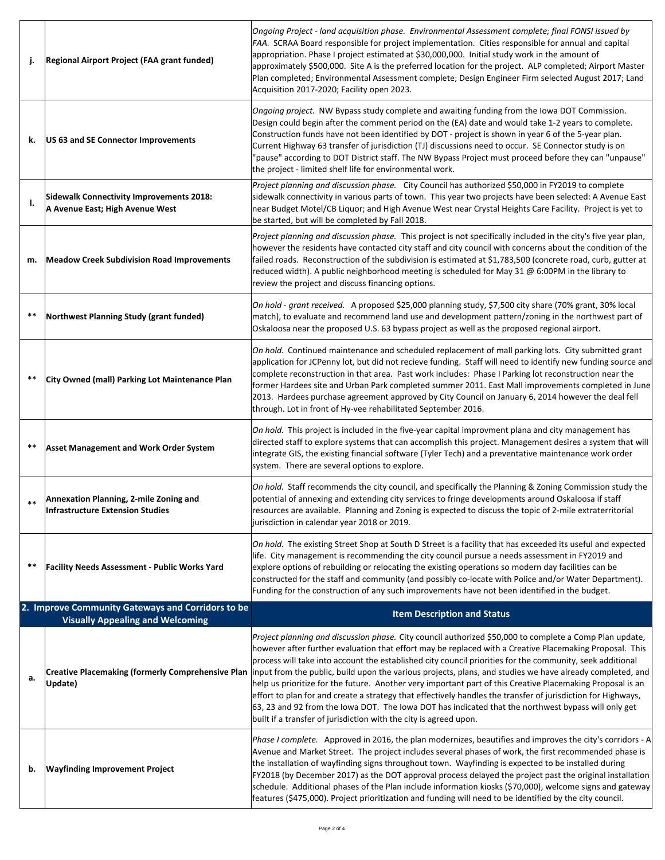| j.    | Regional Airport Project (FAA grant funded)                                                  | Ongoing Project - land acquisition phase. Environmental Assessment complete; final FONSI issued by<br>FAA. SCRAA Board responsible for project implementation. Cities responsible for annual and capital<br>appropriation. Phase I project estimated at \$30,000,000. Initial study work in the amount of<br>approximately \$500,000. Site A is the preferred location for the project. ALP completed; Airport Master<br>Plan completed; Environmental Assessment complete; Design Engineer Firm selected August 2017; Land<br>Acquisition 2017-2020; Facility open 2023.                                                                                                                                                                                                                                                                              |
|-------|----------------------------------------------------------------------------------------------|--------------------------------------------------------------------------------------------------------------------------------------------------------------------------------------------------------------------------------------------------------------------------------------------------------------------------------------------------------------------------------------------------------------------------------------------------------------------------------------------------------------------------------------------------------------------------------------------------------------------------------------------------------------------------------------------------------------------------------------------------------------------------------------------------------------------------------------------------------|
| k.    | US 63 and SE Connector Improvements                                                          | Ongoing project. NW Bypass study complete and awaiting funding from the Iowa DOT Commission.<br>Design could begin after the comment period on the (EA) date and would take 1-2 years to complete.<br>Construction funds have not been identified by DOT - project is shown in year 6 of the 5-year plan.<br>Current Highway 63 transfer of jurisdiction (TJ) discussions need to occur. SE Connector study is on<br>"pause" according to DOT District staff. The NW Bypass Project must proceed before they can "unpause"<br>the project - limited shelf life for environmental work.                                                                                                                                                                                                                                                                 |
| Ι.    | <b>Sidewalk Connectivity Improvements 2018:</b><br>A Avenue East; High Avenue West           | Project planning and discussion phase. City Council has authorized \$50,000 in FY2019 to complete<br>sidewalk connectivity in various parts of town. This year two projects have been selected: A Avenue East<br>near Budget Motel/CB Liquor; and High Avenue West near Crystal Heights Care Facility. Project is yet to<br>be started, but will be completed by Fall 2018.                                                                                                                                                                                                                                                                                                                                                                                                                                                                            |
| m.    | <b>Meadow Creek Subdivision Road Improvements</b>                                            | Project planning and discussion phase. This project is not specifically included in the city's five year plan,<br>however the residents have contacted city staff and city council with concerns about the condition of the<br>failed roads. Reconstruction of the subdivision is estimated at \$1,783,500 (concrete road, curb, gutter at<br>reduced width). A public neighborhood meeting is scheduled for May 31 $\omega$ 6:00PM in the library to<br>review the project and discuss financing options.                                                                                                                                                                                                                                                                                                                                             |
| $***$ | Northwest Planning Study (grant funded)                                                      | On hold - grant received. A proposed \$25,000 planning study, \$7,500 city share (70% grant, 30% local<br>match), to evaluate and recommend land use and development pattern/zoning in the northwest part of<br>Oskaloosa near the proposed U.S. 63 bypass project as well as the proposed regional airport.                                                                                                                                                                                                                                                                                                                                                                                                                                                                                                                                           |
| $***$ | City Owned (mall) Parking Lot Maintenance Plan                                               | On hold. Continued maintenance and scheduled replacement of mall parking lots. City submitted grant<br>application for JCPenny lot, but did not recieve funding. Staff will need to identify new funding source and<br>complete reconstruction in that area. Past work includes: Phase I Parking lot reconstruction near the<br>former Hardees site and Urban Park completed summer 2011. East Mall improvements completed in June<br>2013. Hardees purchase agreement approved by City Council on January 6, 2014 however the deal fell<br>through. Lot in front of Hy-vee rehabilitated September 2016.                                                                                                                                                                                                                                              |
| $***$ | <b>Asset Management and Work Order System</b>                                                | On hold. This project is included in the five-year capital improvment plana and city management has<br>directed staff to explore systems that can accomplish this project. Management desires a system that will<br>integrate GIS, the existing financial software (Tyler Tech) and a preventative maintenance work order<br>system. There are several options to explore.                                                                                                                                                                                                                                                                                                                                                                                                                                                                             |
| $***$ | Annexation Planning, 2-mile Zoning and<br><b>Infrastructure Extension Studies</b>            | On hold. Staff recommends the city council, and specifically the Planning & Zoning Commission study the<br>potential of annexing and extending city services to fringe developments around Oskaloosa if staff<br>resources are available. Planning and Zoning is expected to discuss the topic of 2-mile extraterritorial<br>jurisdiction in calendar year 2018 or 2019.                                                                                                                                                                                                                                                                                                                                                                                                                                                                               |
| $***$ | <b>Facility Needs Assessment - Public Works Yard</b>                                         | On hold. The existing Street Shop at South D Street is a facility that has exceeded its useful and expected<br>life. City management is recommending the city council pursue a needs assessment in FY2019 and<br>explore options of rebuilding or relocating the existing operations so modern day facilities can be<br>constructed for the staff and community (and possibly co-locate with Police and/or Water Department).<br>Funding for the construction of any such improvements have not been identified in the budget.                                                                                                                                                                                                                                                                                                                         |
|       | 2. Improve Community Gateways and Corridors to be<br><b>Visually Appealing and Welcoming</b> | <b>Item Description and Status</b>                                                                                                                                                                                                                                                                                                                                                                                                                                                                                                                                                                                                                                                                                                                                                                                                                     |
| a.    | <b>Creative Placemaking (formerly Comprehensive Plan</b><br>Update)                          | Project planning and discussion phase. City council authorized \$50,000 to complete a Comp Plan update,<br>however after further evaluation that effort may be replaced with a Creative Placemaking Proposal. This<br>process will take into account the established city council priorities for the community, seek additional<br>input from the public, build upon the various projects, plans, and studies we have already completed, and<br>help us prioritize for the future. Another very important part of this Creative Placemaking Proposal is an<br>effort to plan for and create a strategy that effectively handles the transfer of jurisdiction for Highways,<br>63, 23 and 92 from the Iowa DOT. The Iowa DOT has indicated that the northwest bypass will only get<br>built if a transfer of jurisdiction with the city is agreed upon. |
| b.    | <b>Wayfinding Improvement Project</b>                                                        | Phase I complete. Approved in 2016, the plan modernizes, beautifies and improves the city's corridors - A<br>Avenue and Market Street. The project includes several phases of work, the first recommended phase is<br>the installation of wayfinding signs throughout town. Wayfinding is expected to be installed during<br>FY2018 (by December 2017) as the DOT approval process delayed the project past the original installation<br>schedule. Additional phases of the Plan include information kiosks (\$70,000), welcome signs and gateway<br>features (\$475,000). Project prioritization and funding will need to be identified by the city council.                                                                                                                                                                                          |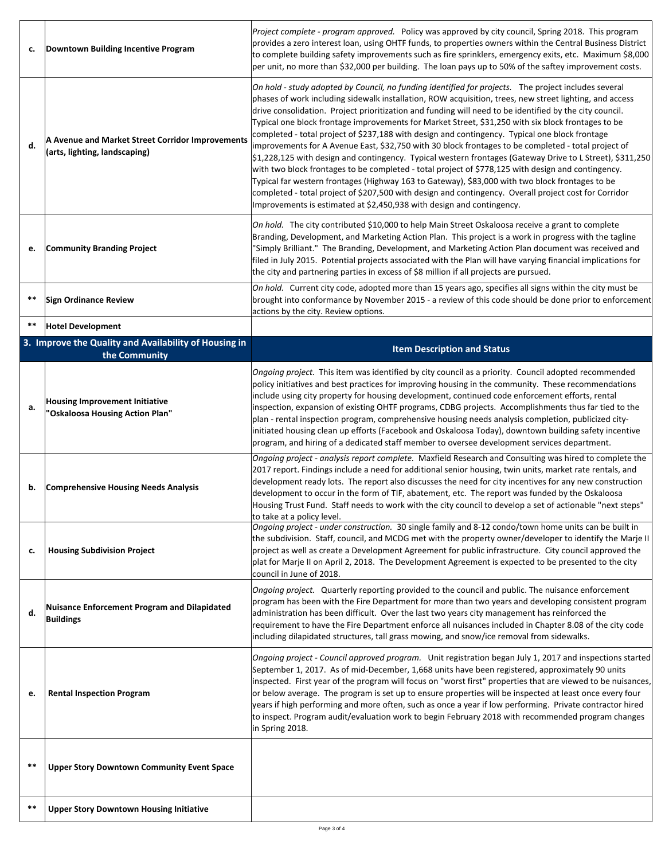| c.    | Downtown Building Incentive Program                                               | Project complete - program approved. Policy was approved by city council, Spring 2018. This program<br>provides a zero interest loan, using OHTF funds, to properties owners within the Central Business District<br>to complete building safety improvements such as fire sprinklers, emergency exits, etc. Maximum \$8,000<br>per unit, no more than \$32,000 per building. The loan pays up to 50% of the saftey improvement costs.                                                                                                                                                                                                                                                                                                                                                                                                                                                                                                                                                                                                                                                                                                            |
|-------|-----------------------------------------------------------------------------------|---------------------------------------------------------------------------------------------------------------------------------------------------------------------------------------------------------------------------------------------------------------------------------------------------------------------------------------------------------------------------------------------------------------------------------------------------------------------------------------------------------------------------------------------------------------------------------------------------------------------------------------------------------------------------------------------------------------------------------------------------------------------------------------------------------------------------------------------------------------------------------------------------------------------------------------------------------------------------------------------------------------------------------------------------------------------------------------------------------------------------------------------------|
| d.    | A Avenue and Market Street Corridor Improvements<br>(arts, lighting, landscaping) | On hold - study adopted by Council, no funding identified for projects. The project includes several<br>phases of work including sidewalk installation, ROW acquisition, trees, new street lighting, and access<br>drive consolidation. Project prioritization and funding will need to be identified by the city council.<br>Typical one block frontage improvements for Market Street, \$31,250 with six block frontages to be<br>completed - total project of \$237,188 with design and contingency. Typical one block frontage<br>improvements for A Avenue East, \$32,750 with 30 block frontages to be completed - total project of<br>\$1,228,125 with design and contingency. Typical western frontages (Gateway Drive to L Street), \$311,250<br>with two block frontages to be completed - total project of \$778,125 with design and contingency.<br>Typical far western frontages (Highway 163 to Gateway), \$83,000 with two block frontages to be<br>completed - total project of \$207,500 with design and contingency. Overall project cost for Corridor<br>Improvements is estimated at \$2,450,938 with design and contingency. |
| e.    | <b>Community Branding Project</b>                                                 | On hold. The city contributed \$10,000 to help Main Street Oskaloosa receive a grant to complete<br>Branding, Development, and Marketing Action Plan. This project is a work in progress with the tagline<br>"Simply Brilliant." The Branding, Development, and Marketing Action Plan document was received and<br>filed in July 2015. Potential projects associated with the Plan will have varying financial implications for<br>the city and partnering parties in excess of \$8 million if all projects are pursued.                                                                                                                                                                                                                                                                                                                                                                                                                                                                                                                                                                                                                          |
| $***$ | <b>Sign Ordinance Review</b>                                                      | On hold. Current city code, adopted more than 15 years ago, specifies all signs within the city must be<br>brought into conformance by November 2015 - a review of this code should be done prior to enforcement<br>actions by the city. Review options.                                                                                                                                                                                                                                                                                                                                                                                                                                                                                                                                                                                                                                                                                                                                                                                                                                                                                          |
| $***$ | <b>Hotel Development</b>                                                          |                                                                                                                                                                                                                                                                                                                                                                                                                                                                                                                                                                                                                                                                                                                                                                                                                                                                                                                                                                                                                                                                                                                                                   |
|       | 3. Improve the Quality and Availability of Housing in<br>the Community            | <b>Item Description and Status</b>                                                                                                                                                                                                                                                                                                                                                                                                                                                                                                                                                                                                                                                                                                                                                                                                                                                                                                                                                                                                                                                                                                                |
| a.    | <b>Housing Improvement Initiative</b><br>"Oskaloosa Housing Action Plan"          | Ongoing project. This item was identified by city council as a priority. Council adopted recommended<br>policy initiatives and best practices for improving housing in the community. These recommendations<br>include using city property for housing development, continued code enforcement efforts, rental<br>inspection, expansion of existing OHTF programs, CDBG projects. Accomplishments thus far tied to the<br>plan - rental inspection program, comprehensive housing needs analysis completion, publicized city-<br>initiated housing clean up efforts (Facebook and Oskaloosa Today), downtown building safety incentive<br>program, and hiring of a dedicated staff member to oversee development services department.                                                                                                                                                                                                                                                                                                                                                                                                             |
|       |                                                                                   | Ongoing project - analysis report complete. Maxfield Research and Consulting was hired to complete the                                                                                                                                                                                                                                                                                                                                                                                                                                                                                                                                                                                                                                                                                                                                                                                                                                                                                                                                                                                                                                            |
| b.    | <b>Comprehensive Housing Needs Analysis</b>                                       | 2017 report. Findings include a need for additional senior housing, twin units, market rate rentals, and<br>development ready lots. The report also discusses the need for city incentives for any new construction<br>development to occur in the form of TIF, abatement, etc. The report was funded by the Oskaloosa<br>Housing Trust Fund. Staff needs to work with the city council to develop a set of actionable "next steps"<br>to take at a policy level.                                                                                                                                                                                                                                                                                                                                                                                                                                                                                                                                                                                                                                                                                 |
| c.    | <b>Housing Subdivision Project</b>                                                | Ongoing project - under construction. 30 single family and 8-12 condo/town home units can be built in<br>the subdivision. Staff, council, and MCDG met with the property owner/developer to identify the Marje II<br>project as well as create a Development Agreement for public infrastructure. City council approved the<br>plat for Marje II on April 2, 2018. The Development Agreement is expected to be presented to the city<br>council in June of 2018.                                                                                                                                                                                                                                                                                                                                                                                                                                                                                                                                                                                                                                                                                  |
| d.    | <b>Nuisance Enforcement Program and Dilapidated</b><br><b>Buildings</b>           | Ongoing project. Quarterly reporting provided to the council and public. The nuisance enforcement<br>program has been with the Fire Department for more than two years and developing consistent program<br>administration has been difficult. Over the last two years city management has reinforced the<br>requirement to have the Fire Department enforce all nuisances included in Chapter 8.08 of the city code<br>including dilapidated structures, tall grass mowing, and snow/ice removal from sidewalks.                                                                                                                                                                                                                                                                                                                                                                                                                                                                                                                                                                                                                                 |
| e.    | <b>Rental Inspection Program</b>                                                  | Ongoing project - Council approved program. Unit registration began July 1, 2017 and inspections started<br>September 1, 2017. As of mid-December, 1,668 units have been registered, approximately 90 units<br>inspected. First year of the program will focus on "worst first" properties that are viewed to be nuisances,<br>or below average. The program is set up to ensure properties will be inspected at least once every four<br>years if high performing and more often, such as once a year if low performing. Private contractor hired<br>to inspect. Program audit/evaluation work to begin February 2018 with recommended program changes<br>in Spring 2018.                                                                                                                                                                                                                                                                                                                                                                                                                                                                        |
| $***$ | <b>Upper Story Downtown Community Event Space</b>                                 |                                                                                                                                                                                                                                                                                                                                                                                                                                                                                                                                                                                                                                                                                                                                                                                                                                                                                                                                                                                                                                                                                                                                                   |